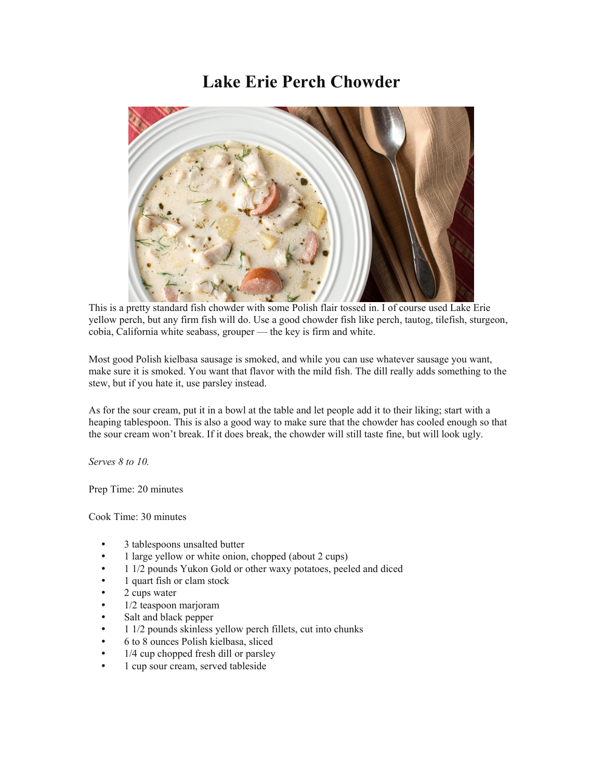## **Lake Erie Perch Chowder**



This is a pretty standard fish chowder with some Polish flair tossed in. I of course used Lake Erie yellow perch, but any firm fish will do. Use a good chowder fish like perch, tautog, tilefish, sturgeon, cobia, California white seabass, grouper — the key is firm and white.

Most good Polish kielbasa sausage is smoked, and while you can use whatever sausage you want, make sure it is smoked. You want that flavor with the mild fish. The dill really adds something to the stew, but if you hate it, use parsley instead.

As for the sour cream, put it in a bowl at the table and let people add it to their liking; start with a heaping tablespoon. This is also a good way to make sure that the chowder has cooled enough so that the sour cream won't break. If it does break, the chowder will still taste fine, but will look ugly.

*Serves 8 to 10.*

Prep Time: 20 minutes

Cook Time: 30 minutes

- 3 tablespoons unsalted butter
- 1 large yellow or white onion, chopped (about 2 cups)
- 1 1/2 pounds Yukon Gold or other waxy potatoes, peeled and diced
- 1 quart fish or clam stock
- 2 cups water
- 1/2 teaspoon marjoram
- Salt and black pepper
- 1 1/2 pounds skinless yellow perch fillets, cut into chunks
- 6 to 8 ounces Polish kielbasa, sliced
- 1/4 cup chopped fresh dill or parsley
- 1 cup sour cream, served tableside